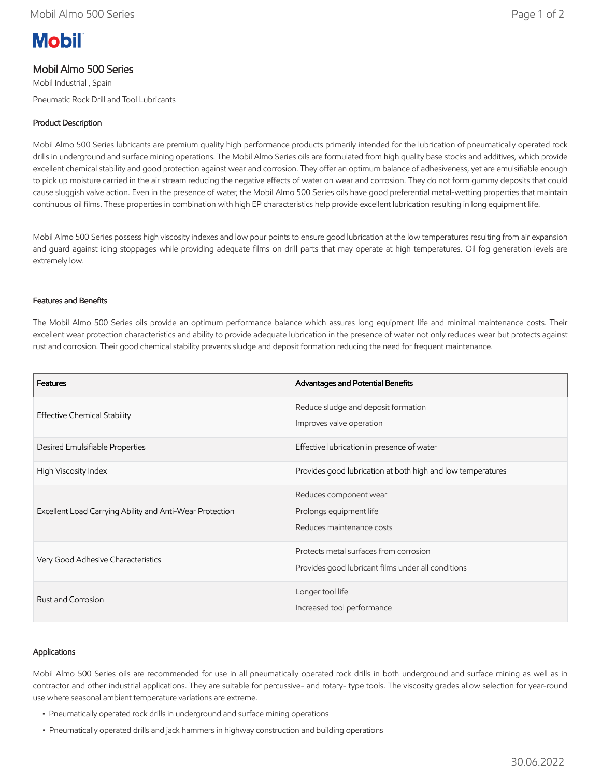# **Mobil**

# Mobil Almo 500 Series

Mobil Industrial , Spain Pneumatic Rock Drill and Tool Lubricants

# Product Description

Mobil Almo 500 Series lubricants are premium quality high performance products primarily intended for the lubrication of pneumatically operated rock drills in underground and surface mining operations. The Mobil Almo Series oils are formulated from high quality base stocks and additives, which provide excellent chemical stability and good protection against wear and corrosion. They offer an optimum balance of adhesiveness, yet are emulsifiable enough to pick up moisture carried in the air stream reducing the negative effects of water on wear and corrosion. They do not form gummy deposits that could cause sluggish valve action. Even in the presence of water, the Mobil Almo 500 Series oils have good preferential metal-wetting properties that maintain continuous oil films. These properties in combination with high EP characteristics help provide excellent lubrication resulting in long equipment life.

Mobil Almo 500 Series possess high viscosity indexes and low pour points to ensure good lubrication at the low temperatures resulting from air expansion and guard against icing stoppages while providing adequate films on drill parts that may operate at high temperatures. Oil fog generation levels are extremely low.

### Features and Benefits

The Mobil Almo 500 Series oils provide an optimum performance balance which assures long equipment life and minimal maintenance costs. Their excellent wear protection characteristics and ability to provide adequate lubrication in the presence of water not only reduces wear but protects against rust and corrosion. Their good chemical stability prevents sludge and deposit formation reducing the need for frequent maintenance.

| Features                                                 | Advantages and Potential Benefits                                                            |  |
|----------------------------------------------------------|----------------------------------------------------------------------------------------------|--|
| <b>Effective Chemical Stability</b>                      | Reduce sludge and deposit formation<br>Improves valve operation                              |  |
| Desired Emulsifiable Properties                          | Effective lubrication in presence of water                                                   |  |
| High Viscosity Index                                     | Provides good lubrication at both high and low temperatures                                  |  |
| Excellent Load Carrying Ability and Anti-Wear Protection | Reduces component wear<br>Prolongs equipment life<br>Reduces maintenance costs               |  |
| Very Good Adhesive Characteristics                       | Protects metal surfaces from corrosion<br>Provides good lubricant films under all conditions |  |
| Rust and Corrosion                                       | Longer tool life<br>Increased tool performance                                               |  |

#### Applications

Mobil Almo 500 Series oils are recommended for use in all pneumatically operated rock drills in both underground and surface mining as well as in contractor and other industrial applications. They are suitable for percussive- and rotary- type tools. The viscosity grades allow selection for year-round use where seasonal ambient temperature variations are extreme.

- Pneumatically operated rock drills in underground and surface mining operations
- Pneumatically operated drills and jack hammers in highway construction and building operations